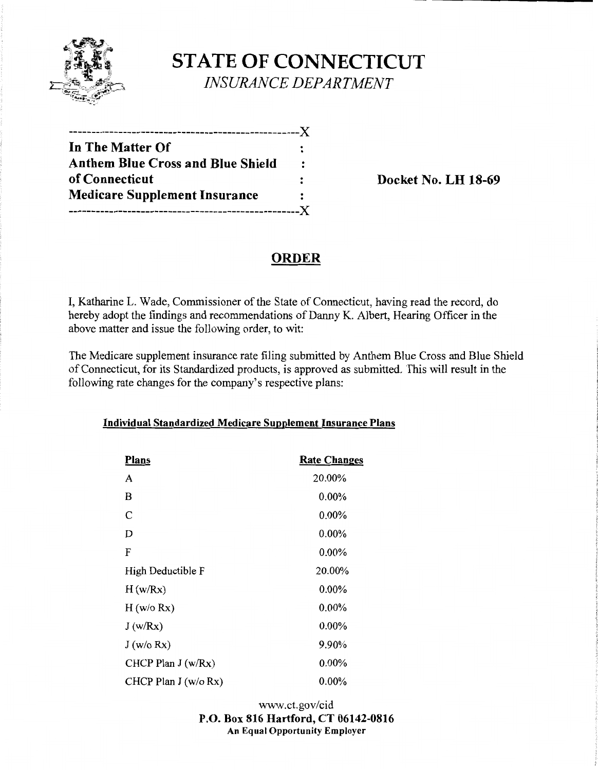

**STATE OF CONNECTICUT**  *INSURANCE DEPARTMENT* 

| In The Matter Of                         | :                    |
|------------------------------------------|----------------------|
| <b>Anthem Blue Cross and Blue Shield</b> | $\ddot{\phantom{a}}$ |
| of Connecticut                           |                      |
| <b>Medicare Supplement Insurance</b>     |                      |
|                                          | .X                   |

**Docket No. LH 18-69** 

## **ORDER**

I, Katharine L. Wade, Commissioner of the State of Connecticut, having read the record, do hereby adopt the findings and recommendations of Danny K. Albert, Hearing Officer in the above matter and issue the following order, to wit:

The Medicare supplement insurance rate filing submitted by Anthem Blue Cross and Blue Shield of Connecticut, for its Standardized products, is approved as submitted. This will result in the following rate changes for the company's respective plans:

| <b>Plans</b>         | <b>Rate Changes</b> |
|----------------------|---------------------|
| A                    | 20.00%              |
| B                    | $0.00\%$            |
| C                    | $0.00\%$            |
| D                    | 0.00%               |
| F                    | 0.00%               |
| High Deductible F    | 20.00%              |
| H(w/Rx)              | $0.00\%$            |
| H (w/o Rx)           | $0.00\%$            |
| J(w/Rx)              | $0.00\%$            |
| J(w/o Rx)            | 9.90%               |
| CHCP Plan $J(w/Rx)$  | $0.00\%$            |
| CHCP Plan J (w/o Rx) | $0.00\%$            |

#### **Individual Standardized Medicare Supplement Insurance Plans**

www.ct.gov/cid **P.O. Box 816 Hartford, CT 06142-0816 An Equal Opportunity Employer**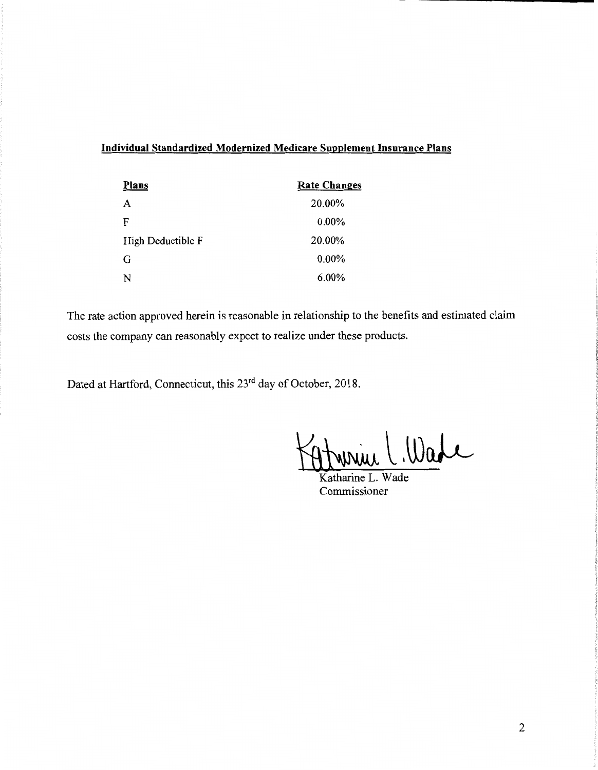### **Individual Standardized Modernized Medicare Supplement Insurance Plans**

| <b>Plans</b>      | <b>Rate Changes</b> |
|-------------------|---------------------|
| A                 | 20.00%              |
| F                 | $0.00\%$            |
| High Deductible F | 20.00%              |
| G                 | $0.00\%$            |
| N                 | $6.00\%$            |

The rate action approved herein is reasonable in relationship to the benefits and estimated claim costs the company can reasonably expect to realize under these products.

Dated at Hartford, Connecticut, this 23rd day of October, 2018.

win Wade

Katharine L. Wade Commissioner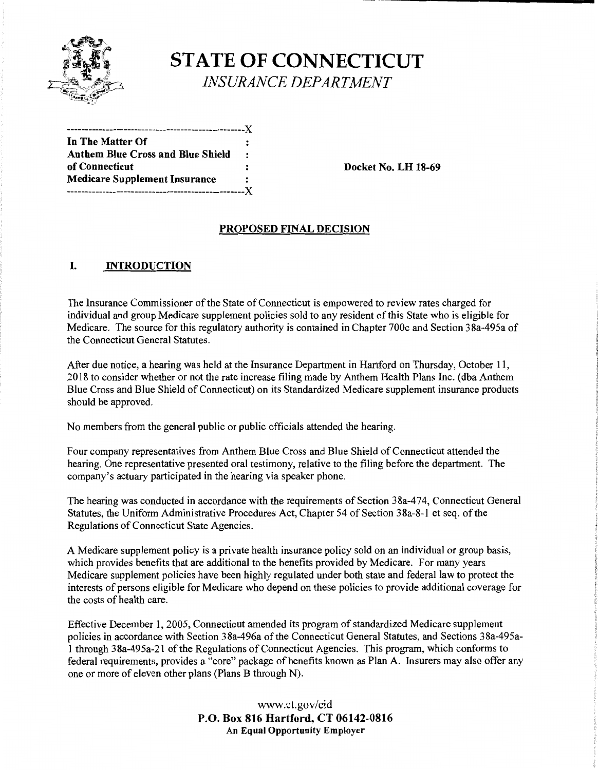

# **STATE OF CONNECTICUT**  *INSURANCE DEPARTMENT*

--------------------------------------------------)( **In The Matter Of Anthem Blue Cross and Blue Shield Medicare Supplement Insurance**  --------------------------------------------------)(

**Docket No. LH 18-69** 

#### **PROPOSED FINAL DECISION**

#### I. **INTRODUCTION**

The Insurance Commissioner ofthe State of Connecticut is empowered to review rates charged for individual and group Medicare supplement policies sold to any resident of this State who is eligible for Medicare. The source for this regulatory authority is contained in Chapter 700c and Section 38a-495a of the Connecticut General Statutes.

After due notice, a hearing was held at the Insurance Department in Hartford on Thursday, October 11, 2018 to consider whether or not the rate increase filing made by Anthem Health Plans Inc. ( dba Anthem Blue Cross and Blue Shield of Connecticut) on its Standardized Medicare supplement insurance products should be approved.

No members from the general public or public officials attended the hearing.

Four company representatives from Anthem Blue Cross and Blue Shield of Connecticut attended the hearing. One representative presented oral testimony, relative to the filing before the department. The company's actuary participated in the hearing via speaker phone.

The hearing was conducted in accordance with the requirements of Section 38a-474, Connecticut General Statutes, the Uniform Administrative Procedures Act, Chapter 54 of Section 38a-8-1 et seq. of the Regulations of Connecticut State Agencies.

A Medicare supplement policy is a private health insurance policy sold on an individual or group basis, which provides benefits that are additional to the benefits provided by Medicare. For many years Medicare supplement policies have been highly regulated under both state and federal law to protect the interests of persons eligible for Medicare who depend on these policies to provide additional coverage for the costs of health care.

Effective December 1, 2005, Connecticut amended its program of standardized Medicare supplement policies in accordance with Section 38a-496a of the Connecticut General Statutes, and Sections 38a-495a-1 through 38a-495a-21 of the Regulations of Connecticut Agencies. This program, which conforms to federal requirements, provides a "core" package of benefits known as Plan A. Insurers may also offer any one or more of eleven other plans (Plans B through N).

> www.ct.gov/cid **P.O. Box 816 Hartford, CT 06142-0816 An Equal Opportunity Employer**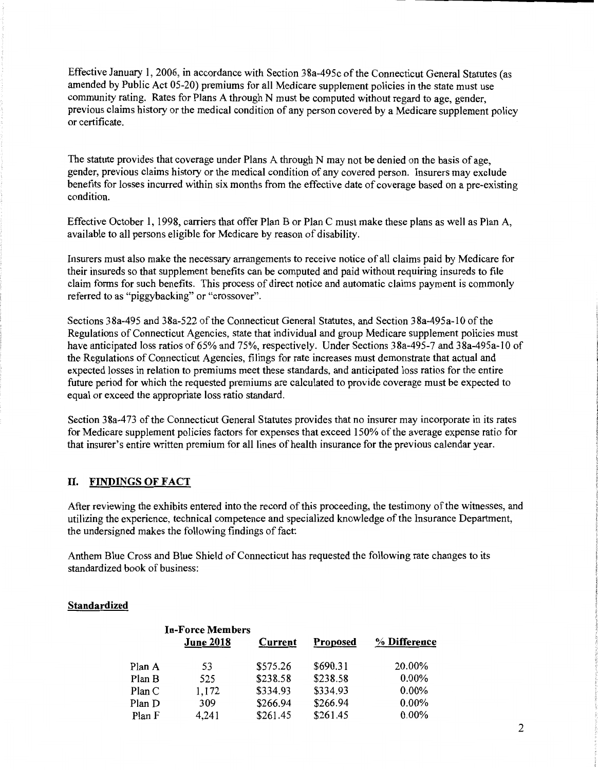Effective January 1, 2006, in accordance with Section 38a-495c of the Connecticut General Statutes (as amended by Public Act 05-20) premiums for all Medicare supplement policies in the state must use community rating. Rates for Plans A through N must be computed without regard to age, gender, previous claims history or the medical condition of any person covered by a Medicare supplement policy or certificate.

The statute provides that coverage under Plans A through N may not be denied on the basis of age, gender, previous claims history or the medical condition of any covered person. Insurers may exclude benefits for losses incurred within six months from the effective date of coverage based on a pre-existing condition.

Effective October I, 1998, carriers that offer Plan B or Plan C must make these plans as well as Plan A, available to all persons eligible for Medicare by reason of disability.

Insurers must also make the necessary arrangements to receive notice of all claims paid by Medicare for their insureds so that supplement benefits can be computed and paid without requiring insureds to file claim forms for such benefits. This process of direct notice and automatic claims payment is commonly referred to as "piggybacking" or "crossover".

Sections 38a-495 and 38a-522 of the Connecticut General Statutes, and Section 38a-495a-10 of the Regulations of Connecticut Agencies, state that individual and group Medicare supplement policies must have anticipated loss ratios of 65% and 75%, respectively. Under Sections 38a-495-7 and 38a-495a-10 of the Regulations of Connecticut Agencies, filings for rate increases must demonstrate that actual and expected losses in relation to premiums meet these standards, and anticipated loss ratios for the entire future period for which the requested premiums are calculated to provide coverage must be expected to equal or exceed the appropriate loss ratio standard.

Section 3 8a-4 73 of the Connecticut General Statutes provides that no insurer may incorporate in its rates for Medicare supplement policies factors for expenses that exceed 150% of the average expense ratio for that insurer's entire written premium for all lines of health insurance for the previous calendar year.

#### II. **FINDINGS OF FACT**

After reviewing the exhibits entered into the record of this proceeding, the testimony of the witnesses, and utilizing the experience, technical competence and specialized knowledge of the Insurance Department, the undersigned makes the following findings of fact:

Anthem Blue Cross and Blue Shield of Connecticut has requested the following rate changes to its standardized book of business:

#### **Standardized**

| <b>In-Force Members</b> |                  |          |                 |              |
|-------------------------|------------------|----------|-----------------|--------------|
|                         | <b>June 2018</b> | Current  | <b>Proposed</b> | % Difference |
| Plan A                  | 53               | \$575.26 | \$690.31        | 20.00%       |
| Plan B                  | 525              | \$238.58 | \$238.58        | $0.00\%$     |
| Plan C                  | 1,172            | \$334.93 | \$334.93        | $0.00\%$     |
| Plan D                  | 309              | \$266.94 | \$266.94        | $0.00\%$     |
| Plan F                  | 4,241            | \$261.45 | \$261.45        | $0.00\%$     |
|                         |                  |          |                 |              |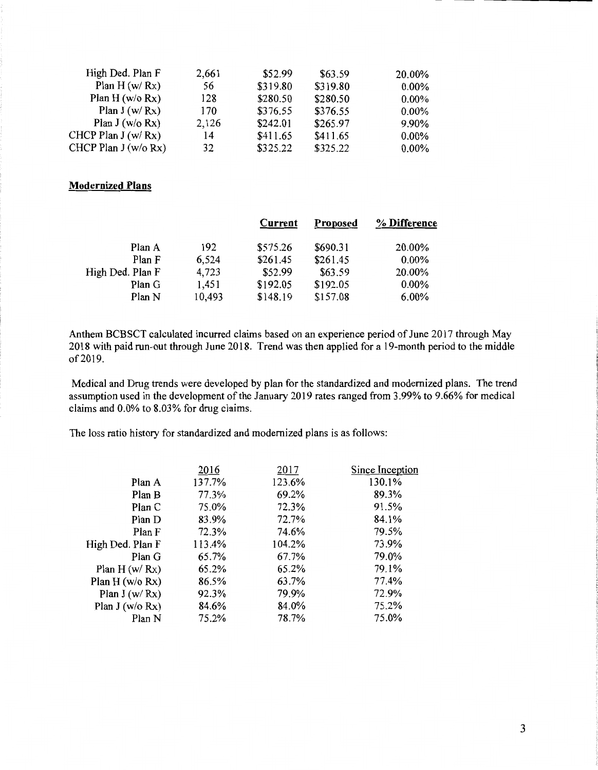| High Ded. Plan F      | 2,661 | \$52.99  | \$63.59  | 20.00%   |
|-----------------------|-------|----------|----------|----------|
| Plan $H(w/Rx)$        | 56    | \$319.80 | \$319.80 | $0.00\%$ |
| Plan H $(w/o Rx)$     | 128   | \$280.50 | \$280.50 | $0.00\%$ |
| Plan $J(w/Rx)$        | 170   | \$376.55 | \$376.55 | $0.00\%$ |
| Plan $J(w/o Rx)$      | 2,126 | \$242.01 | \$265.97 | 9.90%    |
| CHCP Plan $J(w/Rx)$   | 14    | \$411.65 | \$411.65 | $0.00\%$ |
| CHCP Plan $J(w/o Rx)$ | 32    | \$325.22 | \$325.22 | $0.00\%$ |

#### **Modernized Plans**

|                  |        | Current  | <b>Proposed</b> | % Difference |
|------------------|--------|----------|-----------------|--------------|
| Plan A           | 192    | \$575.26 | \$690.31        | 20.00%       |
| Plan F           | 6,524  | \$261.45 | \$261.45        | $0.00\%$     |
| High Ded. Plan F | 4,723  | \$52.99  | \$63.59         | 20.00%       |
| Plan G           | 1,451  | \$192.05 | \$192.05        | $0.00\%$     |
| Plan N           | 10,493 | \$148.19 | \$157.08        | 6.00%        |
|                  |        |          |                 |              |

Anthem BCBSCT calculated incurred claims based on an experience period of June 2017 through May 2018 with paid run-out through June 2018. Trend was then applied for a 19-month period to the middle of 2019.

Medical and Drug trends were developed by plan for the standardized and modernized plans. The trend assumption used in the development of the January 2019 rates ranged from 3.99% to 9.66% for medical claims and 0.0% to 8.03% for drug claims.

The loss ratio history for standardized and modernized plans is as follows:

| 2016   | 2017   | Since Inception |
|--------|--------|-----------------|
| 137.7% | 123.6% | 130.1%          |
| 77.3%  | 69.2%  | 89.3%           |
| 75.0%  | 72.3%  | 91.5%           |
| 83.9%  | 72.7%  | 84.1%           |
| 72.3%  | 74.6%  | 79.5%           |
| 113.4% | 104.2% | 73.9%           |
| 65.7%  | 67.7%  | 79.0%           |
| 65.2%  | 65.2%  | 79.1%           |
| 86.5%  | 63.7%  | 77.4%           |
| 92.3%  | 79.9%  | 72.9%           |
| 84.6%  | 84.0%  | 75.2%           |
| 75.2%  | 78.7%  | 75.0%           |
|        |        |                 |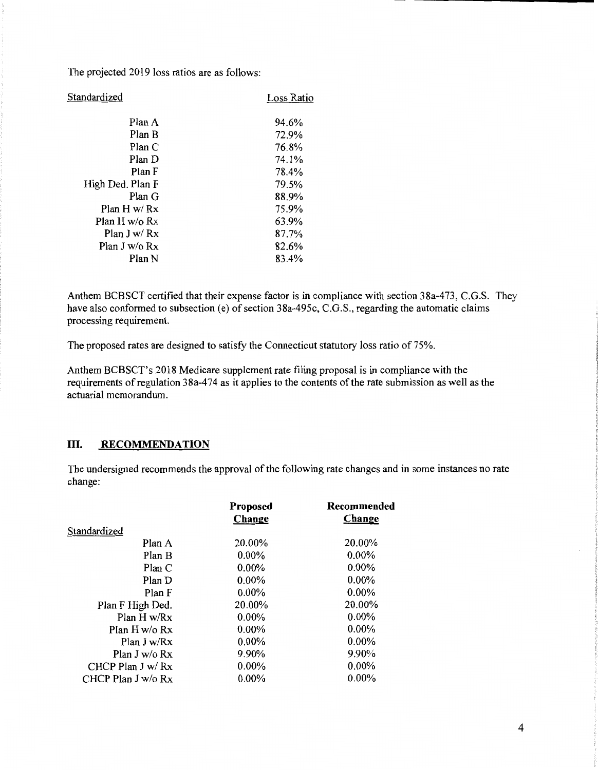The projected 2019 loss ratios are as follows:

| Standardized     | Loss Ratio |
|------------------|------------|
| Plan A           | 94.6%      |
| Plan B           | 72.9%      |
| Plan C           | 76.8%      |
| Plan D           | 74.1%      |
| Plan F           | 78.4%      |
| High Ded. Plan F | 79.5%      |
| Plan G           | 88.9%      |
| Plan H w/ $Rx$   | 75.9%      |
| Plan H w/o $Rx$  | 63.9%      |
| Plan J w/ $Rx$   | 87.7%      |
| Plan J w/o Rx    | 82.6%      |
| Plan N           | 83.4%      |
|                  |            |

Anthem BCBSCT certified that their expense factor is in compliance with section 38a-473, C.G.S. They have also conformed to subsection (e) of section 38a-495c, C.G.S., regarding the automatic claims processing requirement.

The proposed rates are designed to satisfy the Connecticut statutory loss ratio of 75%.

Anthem BCBSCT's 2018 Medicare supplement rate filing proposal is in compliance with the requirements of regulation 38a-474 as it applies to the contents of the rate submission as well as the actuarial memorandum.

#### **III.** RECOMMENDATION

The undersigned recommends the approval of the following rate changes and in some instances no rate change:

| Proposed<br>Change | Recommended<br>Change |
|--------------------|-----------------------|
|                    |                       |
| 20.00%             | 20.00%                |
| $0.00\%$           | $0.00\%$              |
| $0.00\%$           | $0.00\%$              |
| $0.00\%$           | $0.00\%$              |
| $0.00\%$           | $0.00\%$              |
| 20.00%             | 20.00%                |
| $0.00\%$           | $0.00\%$              |
| $0.00\%$           | $0.00\%$              |
| $0.00\%$           | $0.00\%$              |
| 9.90%              | 9.90%                 |
| $0.00\%$           | $0.00\%$              |
| $0.00\%$           | $0.00\%$              |
|                    |                       |